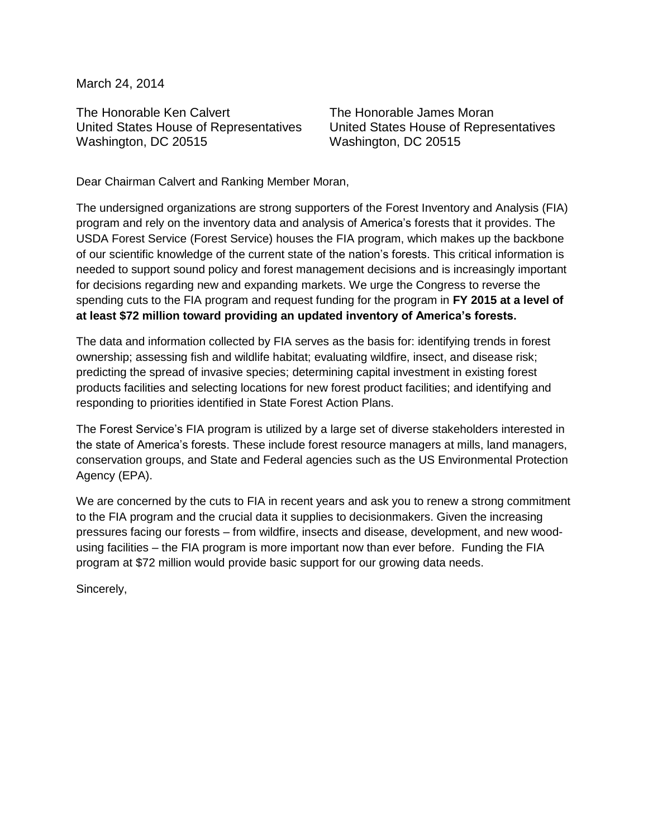March 24, 2014

The Honorable Ken Calvert United States House of Representatives Washington, DC 20515

The Honorable James Moran United States House of Representatives Washington, DC 20515

Dear Chairman Calvert and Ranking Member Moran,

The undersigned organizations are strong supporters of the Forest Inventory and Analysis (FIA) program and rely on the inventory data and analysis of America's forests that it provides. The USDA Forest Service (Forest Service) houses the FIA program, which makes up the backbone of our scientific knowledge of the current state of the nation's forests. This critical information is needed to support sound policy and forest management decisions and is increasingly important for decisions regarding new and expanding markets. We urge the Congress to reverse the spending cuts to the FIA program and request funding for the program in **FY 2015 at a level of at least \$72 million toward providing an updated inventory of America's forests.** 

The data and information collected by FIA serves as the basis for: identifying trends in forest ownership; assessing fish and wildlife habitat; evaluating wildfire, insect, and disease risk; predicting the spread of invasive species; determining capital investment in existing forest products facilities and selecting locations for new forest product facilities; and identifying and responding to priorities identified in State Forest Action Plans.

The Forest Service's FIA program is utilized by a large set of diverse stakeholders interested in the state of America's forests. These include forest resource managers at mills, land managers, conservation groups, and State and Federal agencies such as the US Environmental Protection Agency (EPA).

We are concerned by the cuts to FIA in recent years and ask you to renew a strong commitment to the FIA program and the crucial data it supplies to decisionmakers. Given the increasing pressures facing our forests – from wildfire, insects and disease, development, and new woodusing facilities – the FIA program is more important now than ever before. Funding the FIA program at \$72 million would provide basic support for our growing data needs.

Sincerely,